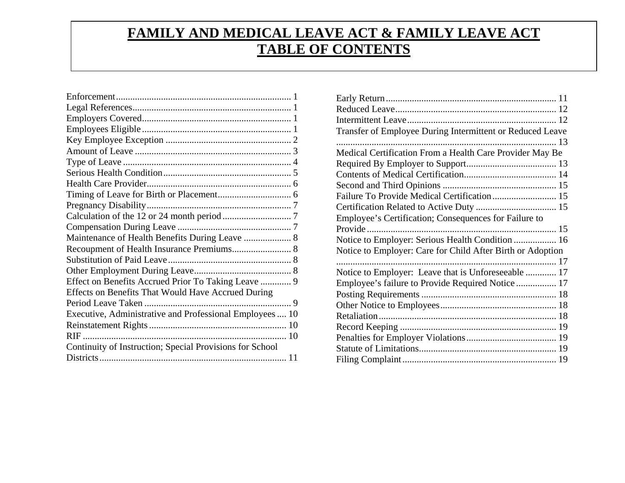## **FAMILY AND MEDICAL LEAVE ACT & FAMILY LEAVE ACT TABLE OF CONTENTS**

| Maintenance of Health Benefits During Leave  8           |
|----------------------------------------------------------|
|                                                          |
|                                                          |
|                                                          |
| Effect on Benefits Accrued Prior To Taking Leave  9      |
| Effects on Benefits That Would Have Accrued During       |
|                                                          |
| Executive, Administrative and Professional Employees  10 |
|                                                          |
|                                                          |
| Continuity of Instruction; Special Provisions for School |
|                                                          |

| Transfer of Employee During Intermittent or Reduced Leave  |  |
|------------------------------------------------------------|--|
|                                                            |  |
| Medical Certification From a Health Care Provider May Be   |  |
|                                                            |  |
|                                                            |  |
|                                                            |  |
|                                                            |  |
|                                                            |  |
| Employee's Certification; Consequences for Failure to      |  |
|                                                            |  |
| Notice to Employer: Serious Health Condition  16           |  |
| Notice to Employer: Care for Child After Birth or Adoption |  |
|                                                            |  |
| Notice to Employer: Leave that is Unforeseeable  17        |  |
| Employee's failure to Provide Required Notice  17          |  |
|                                                            |  |
|                                                            |  |
|                                                            |  |
|                                                            |  |
|                                                            |  |
|                                                            |  |
|                                                            |  |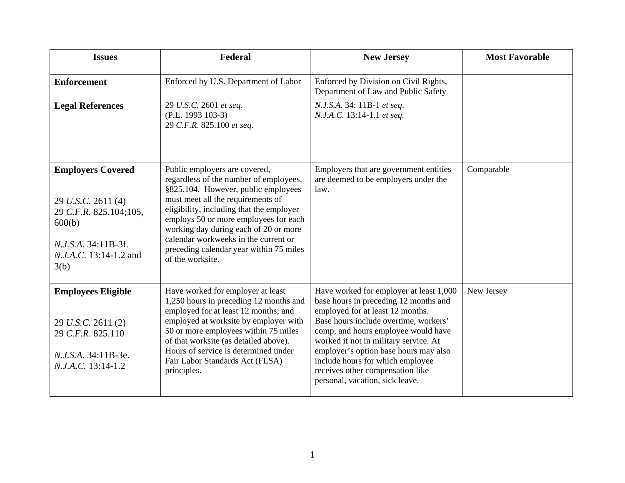<span id="page-1-0"></span>

| <b>Issues</b>                                                                                                                                      | Federal                                                                                                                                                                                                                                                                                                                                                                                  | <b>New Jersey</b>                                                                                                                                                                                                                                                                                                                                                                                 | <b>Most Favorable</b> |
|----------------------------------------------------------------------------------------------------------------------------------------------------|------------------------------------------------------------------------------------------------------------------------------------------------------------------------------------------------------------------------------------------------------------------------------------------------------------------------------------------------------------------------------------------|---------------------------------------------------------------------------------------------------------------------------------------------------------------------------------------------------------------------------------------------------------------------------------------------------------------------------------------------------------------------------------------------------|-----------------------|
| <b>Enforcement</b>                                                                                                                                 | Enforced by U.S. Department of Labor                                                                                                                                                                                                                                                                                                                                                     | Enforced by Division on Civil Rights,<br>Department of Law and Public Safety                                                                                                                                                                                                                                                                                                                      |                       |
| <b>Legal References</b>                                                                                                                            | 29 U.S.C. 2601 et seq.<br>$(P.L. 1993 103-3)$<br>29 C.F.R. 825.100 et seq.                                                                                                                                                                                                                                                                                                               | N.J.S.A. 34: 11B-1 et seq.<br>N.J.A.C. 13:14-1.1 et seq.                                                                                                                                                                                                                                                                                                                                          |                       |
| <b>Employers Covered</b><br>29 U.S.C. 2611 (4)<br>29 C.F.R. 825.104;105,<br>600(b)<br>N.J.S.A. 34:11B-3f.<br><i>N.J.A.C.</i> 13:14-1.2 and<br>3(b) | Public employers are covered,<br>regardless of the number of employees.<br>§825.104. However, public employees<br>must meet all the requirements of<br>eligibility, including that the employer<br>employs 50 or more employees for each<br>working day during each of 20 or more<br>calendar workweeks in the current or<br>preceding calendar year within 75 miles<br>of the worksite. | Employers that are government entities<br>are deemed to be employers under the<br>law.                                                                                                                                                                                                                                                                                                            | Comparable            |
| <b>Employees Eligible</b><br>29 U.S.C. 2611(2)<br>29 C.F.R. 825.110<br>N.J.S.A. 34:11B-3e.<br>N.J.A.C. 13:14-1.2                                   | Have worked for employer at least<br>1,250 hours in preceding 12 months and<br>employed for at least 12 months; and<br>employed at worksite by employer with<br>50 or more employees within 75 miles<br>of that worksite (as detailed above).<br>Hours of service is determined under<br>Fair Labor Standards Act (FLSA)<br>principles.                                                  | Have worked for employer at least 1,000<br>base hours in preceding 12 months and<br>employed for at least 12 months.<br>Base hours include overtime, workers'<br>comp, and hours employee would have<br>worked if not in military service. At<br>employer's option base hours may also<br>include hours for which employee<br>receives other compensation like<br>personal, vacation, sick leave. | New Jersey            |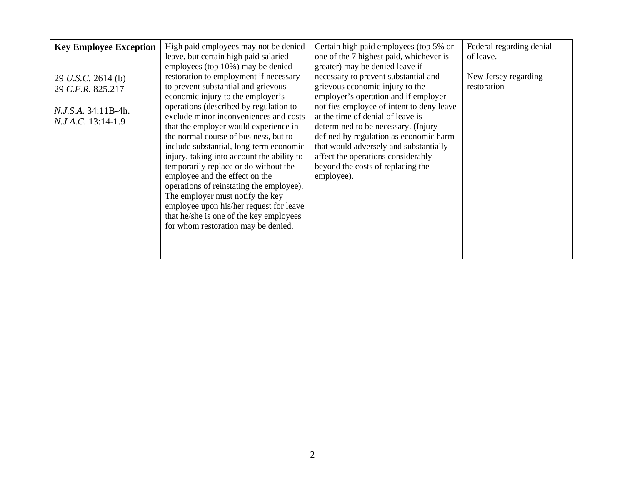<span id="page-2-0"></span>

| <b>Key Employee Exception</b><br>29 U.S.C. 2614 (b)<br>29 C.F.R. 825.217<br><i>N.J.S.A.</i> 34:11B-4h.<br>N.J.A.C. 13:14-1.9 | High paid employees may not be denied<br>leave, but certain high paid salaried<br>employees (top 10%) may be denied<br>restoration to employment if necessary<br>to prevent substantial and grievous<br>economic injury to the employer's<br>operations (described by regulation to<br>exclude minor inconveniences and costs<br>that the employer would experience in<br>the normal course of business, but to<br>include substantial, long-term economic<br>injury, taking into account the ability to<br>temporarily replace or do without the<br>employee and the effect on the<br>operations of reinstating the employee).<br>The employer must notify the key<br>employee upon his/her request for leave<br>that he/she is one of the key employees<br>for whom restoration may be denied. | Certain high paid employees (top 5% or<br>one of the 7 highest paid, whichever is<br>greater) may be denied leave if<br>necessary to prevent substantial and<br>grievous economic injury to the<br>employer's operation and if employer<br>notifies employee of intent to deny leave<br>at the time of denial of leave is<br>determined to be necessary. (Injury<br>defined by regulation as economic harm<br>that would adversely and substantially<br>affect the operations considerably<br>beyond the costs of replacing the<br>employee). | Federal regarding denial<br>of leave.<br>New Jersey regarding<br>restoration |
|------------------------------------------------------------------------------------------------------------------------------|--------------------------------------------------------------------------------------------------------------------------------------------------------------------------------------------------------------------------------------------------------------------------------------------------------------------------------------------------------------------------------------------------------------------------------------------------------------------------------------------------------------------------------------------------------------------------------------------------------------------------------------------------------------------------------------------------------------------------------------------------------------------------------------------------|-----------------------------------------------------------------------------------------------------------------------------------------------------------------------------------------------------------------------------------------------------------------------------------------------------------------------------------------------------------------------------------------------------------------------------------------------------------------------------------------------------------------------------------------------|------------------------------------------------------------------------------|
|------------------------------------------------------------------------------------------------------------------------------|--------------------------------------------------------------------------------------------------------------------------------------------------------------------------------------------------------------------------------------------------------------------------------------------------------------------------------------------------------------------------------------------------------------------------------------------------------------------------------------------------------------------------------------------------------------------------------------------------------------------------------------------------------------------------------------------------------------------------------------------------------------------------------------------------|-----------------------------------------------------------------------------------------------------------------------------------------------------------------------------------------------------------------------------------------------------------------------------------------------------------------------------------------------------------------------------------------------------------------------------------------------------------------------------------------------------------------------------------------------|------------------------------------------------------------------------------|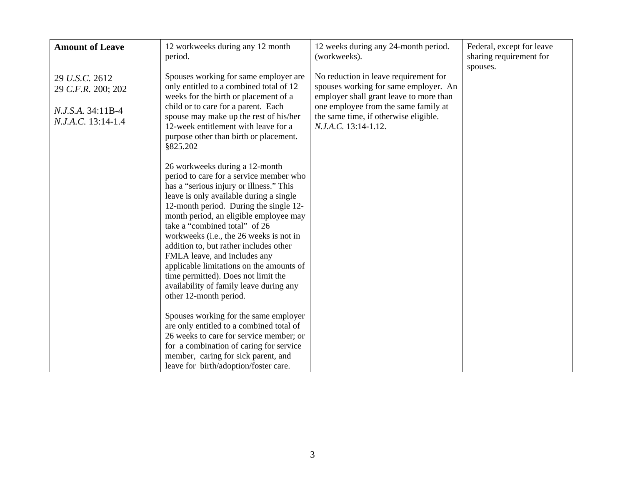<span id="page-3-0"></span>

| <b>Amount of Leave</b>                                                          | 12 workweeks during any 12 month<br>period.                                                                                                                                                                                                                                                                                                                                                                                                                                                                                                                                                                                                                                            | 12 weeks during any 24-month period.<br>(workweeks).                                                                                                                                                                               | Federal, except for leave<br>sharing requirement for |
|---------------------------------------------------------------------------------|----------------------------------------------------------------------------------------------------------------------------------------------------------------------------------------------------------------------------------------------------------------------------------------------------------------------------------------------------------------------------------------------------------------------------------------------------------------------------------------------------------------------------------------------------------------------------------------------------------------------------------------------------------------------------------------|------------------------------------------------------------------------------------------------------------------------------------------------------------------------------------------------------------------------------------|------------------------------------------------------|
| 29 U.S.C. 2612<br>29 C.F.R. 200; 202<br>N.J.S.A. 34:11B-4<br>N.J.A.C. 13:14-1.4 | Spouses working for same employer are<br>only entitled to a combined total of 12<br>weeks for the birth or placement of a<br>child or to care for a parent. Each<br>spouse may make up the rest of his/her<br>12-week entitlement with leave for a<br>purpose other than birth or placement.<br>\$825.202<br>26 workweeks during a 12-month<br>period to care for a service member who<br>has a "serious injury or illness." This<br>leave is only available during a single<br>12-month period. During the single 12-<br>month period, an eligible employee may<br>take a "combined total" of 26<br>workweeks (i.e., the 26 weeks is not in<br>addition to, but rather includes other | No reduction in leave requirement for<br>spouses working for same employer. An<br>employer shall grant leave to more than<br>one employee from the same family at<br>the same time, if otherwise eligible.<br>N.J.A.C. 13:14-1.12. | spouses.                                             |
|                                                                                 | FMLA leave, and includes any<br>applicable limitations on the amounts of<br>time permitted). Does not limit the<br>availability of family leave during any<br>other 12-month period.<br>Spouses working for the same employer<br>are only entitled to a combined total of<br>26 weeks to care for service member; or<br>for a combination of caring for service<br>member, caring for sick parent, and<br>leave for birth/adoption/foster care.                                                                                                                                                                                                                                        |                                                                                                                                                                                                                                    |                                                      |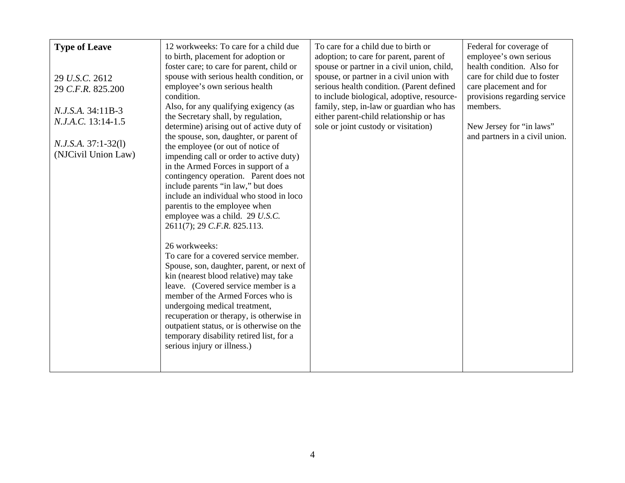<span id="page-4-0"></span>

| <b>Type of Leave</b><br>29 U.S.C. 2612<br>29 C.F.R. 825.200<br>N.J.S.A. 34:11B-3<br>N.J.A.C. 13:14-1.5<br>$N.J.S.A. 37:1-32(1)$<br>(NJCivil Union Law) | 12 workweeks: To care for a child due<br>to birth, placement for adoption or<br>foster care; to care for parent, child or<br>spouse with serious health condition, or<br>employee's own serious health<br>condition.<br>Also, for any qualifying exigency (as<br>the Secretary shall, by regulation,<br>determine) arising out of active duty of<br>the spouse, son, daughter, or parent of<br>the employee (or out of notice of<br>impending call or order to active duty)<br>in the Armed Forces in support of a<br>contingency operation. Parent does not<br>include parents "in law," but does<br>include an individual who stood in loco<br>parentis to the employee when<br>employee was a child. 29 U.S.C.<br>2611(7); 29 C.F.R. 825.113.<br>26 workweeks:<br>To care for a covered service member.<br>Spouse, son, daughter, parent, or next of<br>kin (nearest blood relative) may take<br>leave. (Covered service member is a<br>member of the Armed Forces who is<br>undergoing medical treatment,<br>recuperation or therapy, is otherwise in<br>outpatient status, or is otherwise on the<br>temporary disability retired list, for a<br>serious injury or illness.) | To care for a child due to birth or<br>adoption; to care for parent, parent of<br>spouse or partner in a civil union, child,<br>spouse, or partner in a civil union with<br>serious health condition. (Parent defined<br>to include biological, adoptive, resource-<br>family, step, in-law or guardian who has<br>either parent-child relationship or has<br>sole or joint custody or visitation) | Federal for coverage of<br>employee's own serious<br>health condition. Also for<br>care for child due to foster<br>care placement and for<br>provisions regarding service<br>members.<br>New Jersey for "in laws"<br>and partners in a civil union. |
|--------------------------------------------------------------------------------------------------------------------------------------------------------|-----------------------------------------------------------------------------------------------------------------------------------------------------------------------------------------------------------------------------------------------------------------------------------------------------------------------------------------------------------------------------------------------------------------------------------------------------------------------------------------------------------------------------------------------------------------------------------------------------------------------------------------------------------------------------------------------------------------------------------------------------------------------------------------------------------------------------------------------------------------------------------------------------------------------------------------------------------------------------------------------------------------------------------------------------------------------------------------------------------------------------------------------------------------------------------|----------------------------------------------------------------------------------------------------------------------------------------------------------------------------------------------------------------------------------------------------------------------------------------------------------------------------------------------------------------------------------------------------|-----------------------------------------------------------------------------------------------------------------------------------------------------------------------------------------------------------------------------------------------------|
|--------------------------------------------------------------------------------------------------------------------------------------------------------|-----------------------------------------------------------------------------------------------------------------------------------------------------------------------------------------------------------------------------------------------------------------------------------------------------------------------------------------------------------------------------------------------------------------------------------------------------------------------------------------------------------------------------------------------------------------------------------------------------------------------------------------------------------------------------------------------------------------------------------------------------------------------------------------------------------------------------------------------------------------------------------------------------------------------------------------------------------------------------------------------------------------------------------------------------------------------------------------------------------------------------------------------------------------------------------|----------------------------------------------------------------------------------------------------------------------------------------------------------------------------------------------------------------------------------------------------------------------------------------------------------------------------------------------------------------------------------------------------|-----------------------------------------------------------------------------------------------------------------------------------------------------------------------------------------------------------------------------------------------------|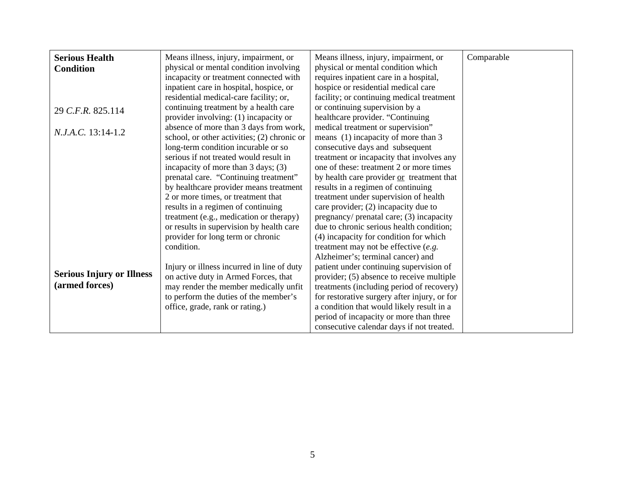<span id="page-5-0"></span>

| <b>Serious Health</b>            | Means illness, injury, impairment, or          | Means illness, injury, impairment, or        | Comparable |
|----------------------------------|------------------------------------------------|----------------------------------------------|------------|
| <b>Condition</b>                 | physical or mental condition involving         | physical or mental condition which           |            |
|                                  | incapacity or treatment connected with         | requires inpatient care in a hospital,       |            |
|                                  | inpatient care in hospital, hospice, or        | hospice or residential medical care          |            |
|                                  | residential medical-care facility; or,         | facility; or continuing medical treatment    |            |
| 29 C.F.R. 825.114                | continuing treatment by a health care          | or continuing supervision by a               |            |
|                                  | provider involving: (1) incapacity or          | healthcare provider. "Continuing             |            |
| N.J.A.C. 13:14-1.2               | absence of more than 3 days from work,         | medical treatment or supervision"            |            |
|                                  | school, or other activities; (2) chronic or    | means (1) incapacity of more than 3          |            |
|                                  | long-term condition incurable or so            | consecutive days and subsequent              |            |
|                                  | serious if not treated would result in         | treatment or incapacity that involves any    |            |
|                                  | incapacity of more than $3 \text{ days}$ ; (3) | one of these: treatment 2 or more times      |            |
|                                  | prenatal care. "Continuing treatment"          | by health care provider or treatment that    |            |
|                                  | by healthcare provider means treatment         | results in a regimen of continuing           |            |
|                                  | 2 or more times, or treatment that             | treatment under supervision of health        |            |
|                                  | results in a regimen of continuing             | care provider; (2) incapacity due to         |            |
|                                  | treatment (e.g., medication or therapy)        | pregnancy/ prenatal care; (3) incapacity     |            |
|                                  | or results in supervision by health care       | due to chronic serious health condition;     |            |
|                                  | provider for long term or chronic              | (4) incapacity for condition for which       |            |
|                                  | condition.                                     | treatment may not be effective $(e.g.$       |            |
|                                  |                                                | Alzheimer's; terminal cancer) and            |            |
|                                  | Injury or illness incurred in line of duty     | patient under continuing supervision of      |            |
| <b>Serious Injury or Illness</b> | on active duty in Armed Forces, that           | provider; (5) absence to receive multiple    |            |
| (armed forces)                   | may render the member medically unfit          | treatments (including period of recovery)    |            |
|                                  | to perform the duties of the member's          | for restorative surgery after injury, or for |            |
|                                  | office, grade, rank or rating.)                | a condition that would likely result in a    |            |
|                                  |                                                | period of incapacity or more than three      |            |
|                                  |                                                | consecutive calendar days if not treated.    |            |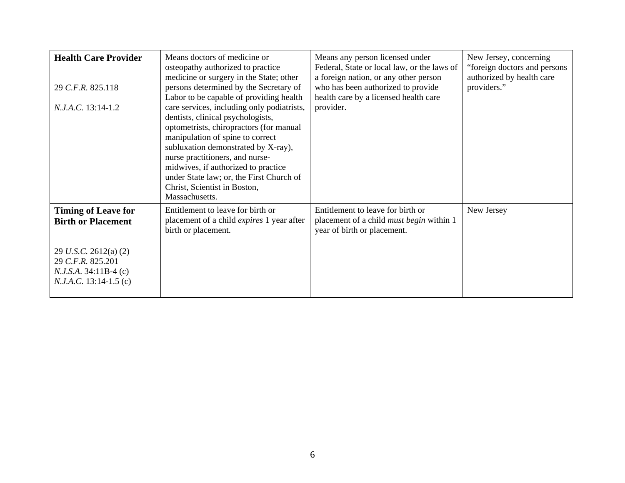<span id="page-6-0"></span>

| <b>Health Care Provider</b><br>29 C.F.R. 825.118<br>N.J.A.C. 13:14-1.2                                                                                         | Means doctors of medicine or<br>osteopathy authorized to practice<br>medicine or surgery in the State; other<br>persons determined by the Secretary of<br>Labor to be capable of providing health<br>care services, including only podiatrists,<br>dentists, clinical psychologists,<br>optometrists, chiropractors (for manual<br>manipulation of spine to correct<br>subluxation demonstrated by X-ray),<br>nurse practitioners, and nurse-<br>midwives, if authorized to practice<br>under State law; or, the First Church of<br>Christ, Scientist in Boston,<br>Massachusetts. | Means any person licensed under<br>Federal, State or local law, or the laws of<br>a foreign nation, or any other person<br>who has been authorized to provide<br>health care by a licensed health care<br>provider. | New Jersey, concerning<br>"foreign doctors and persons"<br>authorized by health care<br>providers." |
|----------------------------------------------------------------------------------------------------------------------------------------------------------------|------------------------------------------------------------------------------------------------------------------------------------------------------------------------------------------------------------------------------------------------------------------------------------------------------------------------------------------------------------------------------------------------------------------------------------------------------------------------------------------------------------------------------------------------------------------------------------|---------------------------------------------------------------------------------------------------------------------------------------------------------------------------------------------------------------------|-----------------------------------------------------------------------------------------------------|
| <b>Timing of Leave for</b><br><b>Birth or Placement</b><br>29 U.S.C. 2612(a) $(2)$<br>29 C.F.R. 825.201<br>$N.J.S.A. 34:11B-4 (c)$<br>$N.J.A.C. 13:14-1.5$ (c) | Entitlement to leave for birth or<br>placement of a child <i>expires</i> 1 year after<br>birth or placement.                                                                                                                                                                                                                                                                                                                                                                                                                                                                       | Entitlement to leave for birth or<br>placement of a child <i>must begin</i> within 1<br>year of birth or placement.                                                                                                 | New Jersey                                                                                          |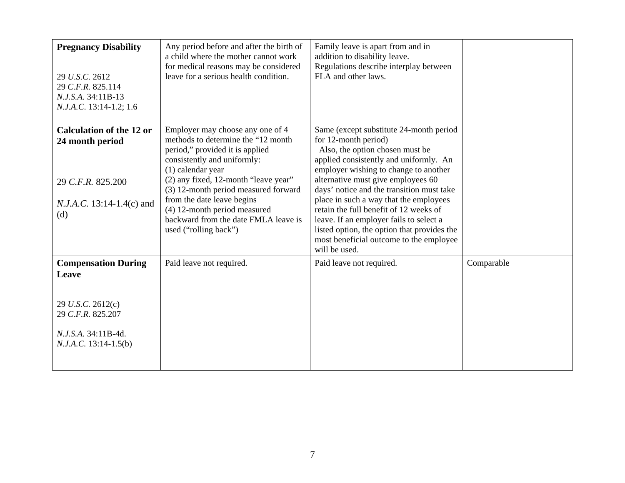<span id="page-7-0"></span>

| <b>Pregnancy Disability</b><br>29 U.S.C. 2612<br>29 C.F.R. 825.114<br>N.J.S.A. 34:11B-13<br>N.J.A.C. 13:14-1.2; 1.6             | Any period before and after the birth of<br>a child where the mother cannot work<br>for medical reasons may be considered<br>leave for a serious health condition.                                                                                                                                                                                                              | Family leave is apart from and in<br>addition to disability leave.<br>Regulations describe interplay between<br>FLA and other laws.                                                                                                                                                                                                                                                                                                                                                                                |            |
|---------------------------------------------------------------------------------------------------------------------------------|---------------------------------------------------------------------------------------------------------------------------------------------------------------------------------------------------------------------------------------------------------------------------------------------------------------------------------------------------------------------------------|--------------------------------------------------------------------------------------------------------------------------------------------------------------------------------------------------------------------------------------------------------------------------------------------------------------------------------------------------------------------------------------------------------------------------------------------------------------------------------------------------------------------|------------|
| <b>Calculation of the 12 or</b><br>24 month period<br>29 C.F.R. 825.200<br><i>N.J.A.C.</i> 13:14-1.4(c) and<br>(d)              | Employer may choose any one of 4<br>methods to determine the "12 month"<br>period," provided it is applied<br>consistently and uniformly:<br>$(1)$ calendar year<br>(2) any fixed, 12-month "leave year"<br>(3) 12-month period measured forward<br>from the date leave begins<br>(4) 12-month period measured<br>backward from the date FMLA leave is<br>used ("rolling back") | Same (except substitute 24-month period<br>for 12-month period)<br>Also, the option chosen must be<br>applied consistently and uniformly. An<br>employer wishing to change to another<br>alternative must give employees 60<br>days' notice and the transition must take<br>place in such a way that the employees<br>retain the full benefit of 12 weeks of<br>leave. If an employer fails to select a<br>listed option, the option that provides the<br>most beneficial outcome to the employee<br>will be used. |            |
| <b>Compensation During</b><br>Leave<br>29 U.S.C. 2612(c)<br>29 C.F.R. 825.207<br>N.J.S.A. 34:11B-4d.<br>$N.J.A.C. 13:14-1.5(b)$ | Paid leave not required.                                                                                                                                                                                                                                                                                                                                                        | Paid leave not required.                                                                                                                                                                                                                                                                                                                                                                                                                                                                                           | Comparable |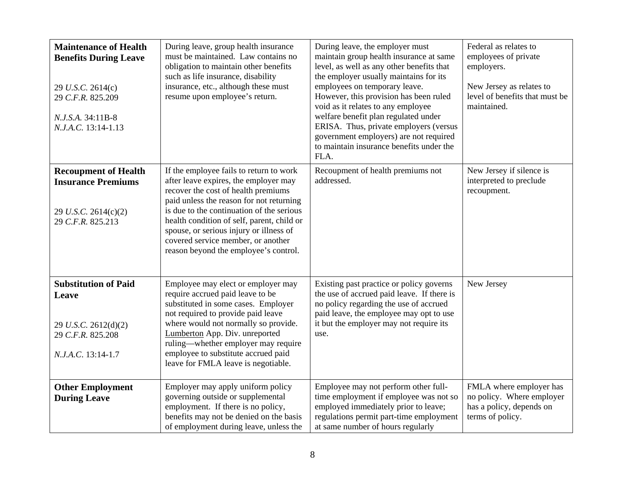<span id="page-8-0"></span>

| <b>Maintenance of Health</b><br><b>Benefits During Leave</b><br>29 U.S.C. 2614(c)<br>29 C.F.R. 825.209<br>N.J.S.A. 34:11B-8<br>N.J.A.C. 13:14-1.13 | During leave, group health insurance<br>must be maintained. Law contains no<br>obligation to maintain other benefits<br>such as life insurance, disability<br>insurance, etc., although these must<br>resume upon employee's return.                                                                                                                                                     | During leave, the employer must<br>maintain group health insurance at same<br>level, as well as any other benefits that<br>the employer usually maintains for its<br>employees on temporary leave.<br>However, this provision has been ruled<br>void as it relates to any employee<br>welfare benefit plan regulated under<br>ERISA. Thus, private employers (versus<br>government employers) are not required<br>to maintain insurance benefits under the<br>FLA. | Federal as relates to<br>employees of private<br>employers.<br>New Jersey as relates to<br>level of benefits that must be<br>maintained. |
|----------------------------------------------------------------------------------------------------------------------------------------------------|------------------------------------------------------------------------------------------------------------------------------------------------------------------------------------------------------------------------------------------------------------------------------------------------------------------------------------------------------------------------------------------|--------------------------------------------------------------------------------------------------------------------------------------------------------------------------------------------------------------------------------------------------------------------------------------------------------------------------------------------------------------------------------------------------------------------------------------------------------------------|------------------------------------------------------------------------------------------------------------------------------------------|
| <b>Recoupment of Health</b><br><b>Insurance Premiums</b><br>29 U.S.C. 2614(c)(2)<br>29 C.F.R. 825.213                                              | If the employee fails to return to work<br>after leave expires, the employer may<br>recover the cost of health premiums<br>paid unless the reason for not returning<br>is due to the continuation of the serious<br>health condition of self, parent, child or<br>spouse, or serious injury or illness of<br>covered service member, or another<br>reason beyond the employee's control. | Recoupment of health premiums not<br>addressed.                                                                                                                                                                                                                                                                                                                                                                                                                    | New Jersey if silence is<br>interpreted to preclude<br>recoupment.                                                                       |
| <b>Substitution of Paid</b><br>Leave<br>29 U.S.C. 2612(d)(2)<br>29 C.F.R. 825.208<br>N.J.A.C. 13:14-1.7                                            | Employee may elect or employer may<br>require accrued paid leave to be<br>substituted in some cases. Employer<br>not required to provide paid leave<br>where would not normally so provide.<br>Lumberton App. Div. unreported<br>ruling—whether employer may require<br>employee to substitute accrued paid<br>leave for FMLA leave is negotiable.                                       | Existing past practice or policy governs<br>the use of accrued paid leave. If there is<br>no policy regarding the use of accrued<br>paid leave, the employee may opt to use<br>it but the employer may not require its<br>use.                                                                                                                                                                                                                                     | New Jersey                                                                                                                               |
| <b>Other Employment</b><br><b>During Leave</b>                                                                                                     | Employer may apply uniform policy<br>governing outside or supplemental<br>employment. If there is no policy,<br>benefits may not be denied on the basis<br>of employment during leave, unless the                                                                                                                                                                                        | Employee may not perform other full-<br>time employment if employee was not so<br>employed immediately prior to leave;<br>regulations permit part-time employment<br>at same number of hours regularly                                                                                                                                                                                                                                                             | FMLA where employer has<br>no policy. Where employer<br>has a policy, depends on<br>terms of policy.                                     |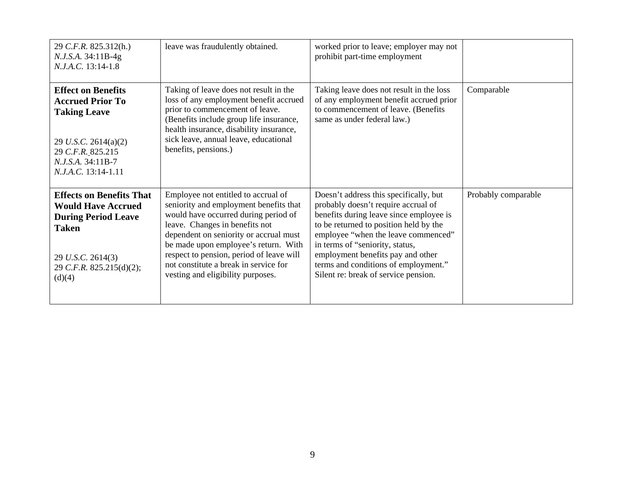<span id="page-9-0"></span>

| 29 C.F.R. 825.312(h.)<br>N.J.S.A. 34:11B-4g<br>N.J.A.C. 13:14-1.8                                                                                                     | leave was fraudulently obtained.                                                                                                                                                                                                                                                                                                                                    | worked prior to leave; employer may not<br>prohibit part-time employment                                                                                                                                                                                                                                                                                          |                     |
|-----------------------------------------------------------------------------------------------------------------------------------------------------------------------|---------------------------------------------------------------------------------------------------------------------------------------------------------------------------------------------------------------------------------------------------------------------------------------------------------------------------------------------------------------------|-------------------------------------------------------------------------------------------------------------------------------------------------------------------------------------------------------------------------------------------------------------------------------------------------------------------------------------------------------------------|---------------------|
| <b>Effect on Benefits</b><br><b>Accrued Prior To</b><br><b>Taking Leave</b><br>29 U.S.C. 2614(a)(2)<br>29 C.F.R. 825.215<br>N.J.S.A. 34:11B-7<br>N.J.A.C. 13:14-1.11  | Taking of leave does not result in the<br>loss of any employment benefit accrued<br>prior to commencement of leave.<br>(Benefits include group life insurance,<br>health insurance, disability insurance,<br>sick leave, annual leave, educational<br>benefits, pensions.)                                                                                          | Taking leave does not result in the loss<br>of any employment benefit accrued prior<br>to commencement of leave. (Benefits<br>same as under federal law.)                                                                                                                                                                                                         | Comparable          |
| <b>Effects on Benefits That</b><br><b>Would Have Accrued</b><br><b>During Period Leave</b><br><b>Taken</b><br>29 U.S.C. 2614(3)<br>29 C.F.R. 825.215(d)(2);<br>(d)(4) | Employee not entitled to accrual of<br>seniority and employment benefits that<br>would have occurred during period of<br>leave. Changes in benefits not<br>dependent on seniority or accrual must<br>be made upon employee's return. With<br>respect to pension, period of leave will<br>not constitute a break in service for<br>vesting and eligibility purposes. | Doesn't address this specifically, but<br>probably doesn't require accrual of<br>benefits during leave since employee is<br>to be returned to position held by the<br>employee "when the leave commenced"<br>in terms of "seniority, status,<br>employment benefits pay and other<br>terms and conditions of employment."<br>Silent re: break of service pension. | Probably comparable |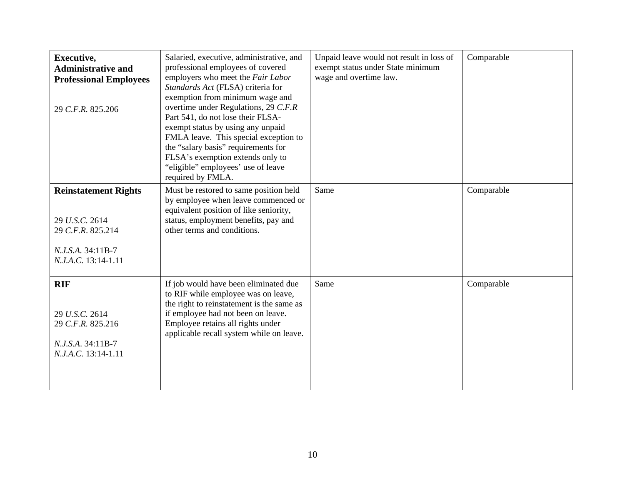<span id="page-10-0"></span>

| Executive,<br><b>Administrative and</b><br><b>Professional Employees</b><br>29 C.F.R. 825.206                  | Salaried, executive, administrative, and<br>professional employees of covered<br>employers who meet the Fair Labor<br>Standards Act (FLSA) criteria for<br>exemption from minimum wage and<br>overtime under Regulations, 29 C.F.R<br>Part 541, do not lose their FLSA-<br>exempt status by using any unpaid<br>FMLA leave. This special exception to<br>the "salary basis" requirements for<br>FLSA's exemption extends only to<br>"eligible" employees' use of leave<br>required by FMLA. | Unpaid leave would not result in loss of<br>exempt status under State minimum<br>wage and overtime law. | Comparable |
|----------------------------------------------------------------------------------------------------------------|---------------------------------------------------------------------------------------------------------------------------------------------------------------------------------------------------------------------------------------------------------------------------------------------------------------------------------------------------------------------------------------------------------------------------------------------------------------------------------------------|---------------------------------------------------------------------------------------------------------|------------|
| <b>Reinstatement Rights</b><br>29 U.S.C. 2614<br>29 C.F.R. 825.214<br>N.J.S.A. 34:11B-7<br>N.J.A.C. 13:14-1.11 | Must be restored to same position held<br>by employee when leave commenced or<br>equivalent position of like seniority,<br>status, employment benefits, pay and<br>other terms and conditions.                                                                                                                                                                                                                                                                                              | Same                                                                                                    | Comparable |
| <b>RIF</b><br>29 U.S.C. 2614<br>29 C.F.R. 825.216<br>N.J.S.A. 34:11B-7<br>N.J.A.C. 13:14-1.11                  | If job would have been eliminated due<br>to RIF while employee was on leave,<br>the right to reinstatement is the same as<br>if employee had not been on leave.<br>Employee retains all rights under<br>applicable recall system while on leave.                                                                                                                                                                                                                                            | Same                                                                                                    | Comparable |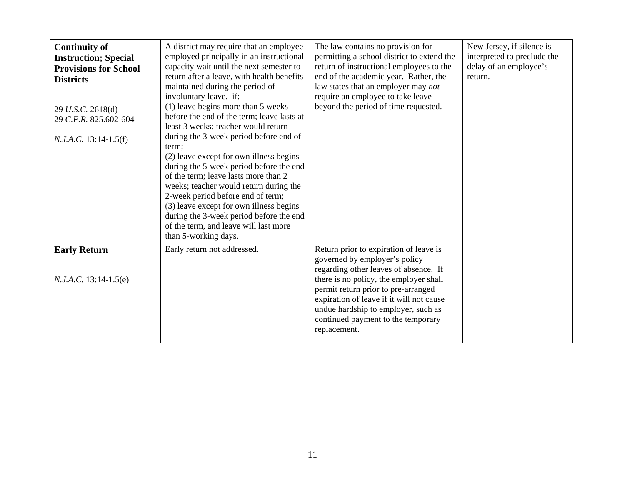<span id="page-11-0"></span>

| <b>Continuity of</b><br><b>Instruction; Special</b><br><b>Provisions for School</b><br><b>Districts</b><br>29 U.S.C. 2618(d)<br>29 C.F.R. 825.602-604<br>$N.J.A.C. 13:14-1.5(f)$ | A district may require that an employee<br>employed principally in an instructional<br>capacity wait until the next semester to<br>return after a leave, with health benefits<br>maintained during the period of<br>involuntary leave, if:<br>$(1)$ leave begins more than 5 weeks<br>before the end of the term; leave lasts at<br>least 3 weeks; teacher would return<br>during the 3-week period before end of<br>term;<br>(2) leave except for own illness begins<br>during the 5-week period before the end<br>of the term; leave lasts more than 2<br>weeks; teacher would return during the<br>2-week period before end of term;<br>(3) leave except for own illness begins<br>during the 3-week period before the end<br>of the term, and leave will last more<br>than 5-working days. | The law contains no provision for<br>permitting a school district to extend the<br>return of instructional employees to the<br>end of the academic year. Rather, the<br>law states that an employer may not<br>require an employee to take leave<br>beyond the period of time requested.                                                   | New Jersey, if silence is<br>interpreted to preclude the<br>delay of an employee's<br>return. |
|----------------------------------------------------------------------------------------------------------------------------------------------------------------------------------|------------------------------------------------------------------------------------------------------------------------------------------------------------------------------------------------------------------------------------------------------------------------------------------------------------------------------------------------------------------------------------------------------------------------------------------------------------------------------------------------------------------------------------------------------------------------------------------------------------------------------------------------------------------------------------------------------------------------------------------------------------------------------------------------|--------------------------------------------------------------------------------------------------------------------------------------------------------------------------------------------------------------------------------------------------------------------------------------------------------------------------------------------|-----------------------------------------------------------------------------------------------|
| <b>Early Return</b><br>$N.J.A.C. 13:14-1.5(e)$                                                                                                                                   | Early return not addressed.                                                                                                                                                                                                                                                                                                                                                                                                                                                                                                                                                                                                                                                                                                                                                                    | Return prior to expiration of leave is<br>governed by employer's policy<br>regarding other leaves of absence. If<br>there is no policy, the employer shall<br>permit return prior to pre-arranged<br>expiration of leave if it will not cause<br>undue hardship to employer, such as<br>continued payment to the temporary<br>replacement. |                                                                                               |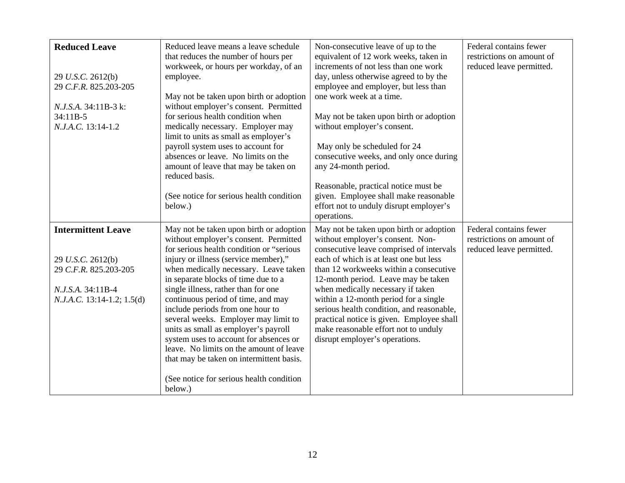<span id="page-12-0"></span>

| <b>Reduced Leave</b><br>29 U.S.C. 2612(b)<br>29 C.F.R. 825.203-205<br>N.J.S.A. 34:11B-3 k:<br>$34:11B-5$<br>N.J.A.C. 13:14-1.2 | Reduced leave means a leave schedule<br>that reduces the number of hours per<br>workweek, or hours per workday, of an<br>employee.<br>May not be taken upon birth or adoption<br>without employer's consent. Permitted<br>for serious health condition when<br>medically necessary. Employer may<br>limit to units as small as employer's<br>payroll system uses to account for<br>absences or leave. No limits on the<br>amount of leave that may be taken on<br>reduced basis.<br>(See notice for serious health condition<br>below.)                                                                                                       | Non-consecutive leave of up to the<br>equivalent of 12 work weeks, taken in<br>increments of not less than one work<br>day, unless otherwise agreed to by the<br>employee and employer, but less than<br>one work week at a time.<br>May not be taken upon birth or adoption<br>without employer's consent.<br>May only be scheduled for 24<br>consecutive weeks, and only once during<br>any 24-month period.<br>Reasonable, practical notice must be<br>given. Employee shall make reasonable<br>effort not to unduly disrupt employer's<br>operations. | Federal contains fewer<br>restrictions on amount of<br>reduced leave permitted. |
|--------------------------------------------------------------------------------------------------------------------------------|-----------------------------------------------------------------------------------------------------------------------------------------------------------------------------------------------------------------------------------------------------------------------------------------------------------------------------------------------------------------------------------------------------------------------------------------------------------------------------------------------------------------------------------------------------------------------------------------------------------------------------------------------|-----------------------------------------------------------------------------------------------------------------------------------------------------------------------------------------------------------------------------------------------------------------------------------------------------------------------------------------------------------------------------------------------------------------------------------------------------------------------------------------------------------------------------------------------------------|---------------------------------------------------------------------------------|
| <b>Intermittent Leave</b><br>29 U.S.C. 2612(b)<br>29 C.F.R. 825.203-205<br>N.J.S.A. 34:11B-4<br>$N.J.A.C.$ 13:14-1.2; 1.5(d)   | May not be taken upon birth or adoption<br>without employer's consent. Permitted<br>for serious health condition or "serious<br>injury or illness (service member),"<br>when medically necessary. Leave taken<br>in separate blocks of time due to a<br>single illness, rather than for one<br>continuous period of time, and may<br>include periods from one hour to<br>several weeks. Employer may limit to<br>units as small as employer's payroll<br>system uses to account for absences or<br>leave. No limits on the amount of leave<br>that may be taken on intermittent basis.<br>(See notice for serious health condition<br>below.) | May not be taken upon birth or adoption<br>without employer's consent. Non-<br>consecutive leave comprised of intervals<br>each of which is at least one but less<br>than 12 workweeks within a consecutive<br>12-month period. Leave may be taken<br>when medically necessary if taken<br>within a 12-month period for a single<br>serious health condition, and reasonable,<br>practical notice is given. Employee shall<br>make reasonable effort not to unduly<br>disrupt employer's operations.                                                      | Federal contains fewer<br>restrictions on amount of<br>reduced leave permitted. |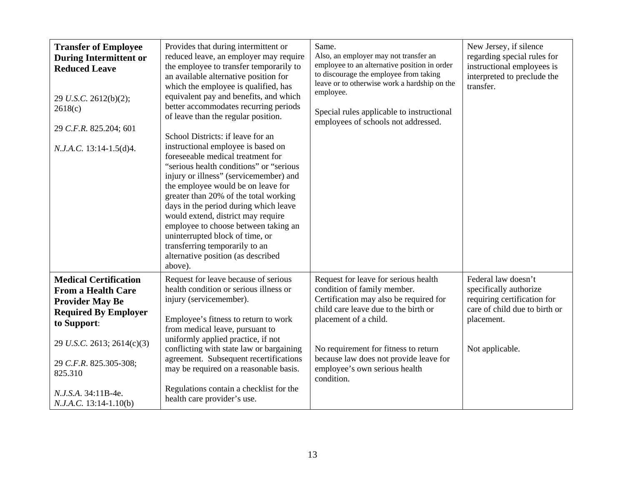<span id="page-13-0"></span>

| <b>Transfer of Employee</b><br><b>During Intermittent or</b><br><b>Reduced Leave</b><br>29 U.S.C. 2612(b)(2);<br>2618(c)<br>29 C.F.R. 825.204; 601<br>N.J.A.C. 13:14-1.5(d)4.                                                                         | Provides that during intermittent or<br>reduced leave, an employer may require<br>the employee to transfer temporarily to<br>an available alternative position for<br>which the employee is qualified, has<br>equivalent pay and benefits, and which<br>better accommodates recurring periods<br>of leave than the regular position.<br>School Districts: if leave for an<br>instructional employee is based on<br>foreseeable medical treatment for<br>"serious health conditions" or "serious<br>injury or illness" (servicemember) and<br>the employee would be on leave for<br>greater than 20% of the total working<br>days in the period during which leave<br>would extend, district may require<br>employee to choose between taking an<br>uninterrupted block of time, or<br>transferring temporarily to an<br>alternative position (as described<br>above). | Same.<br>Also, an employer may not transfer an<br>employee to an alternative position in order<br>to discourage the employee from taking<br>leave or to otherwise work a hardship on the<br>employee.<br>Special rules applicable to instructional<br>employees of schools not addressed.                       | New Jersey, if silence<br>regarding special rules for<br>instructional employees is<br>interpreted to preclude the<br>transfer.                |
|-------------------------------------------------------------------------------------------------------------------------------------------------------------------------------------------------------------------------------------------------------|-----------------------------------------------------------------------------------------------------------------------------------------------------------------------------------------------------------------------------------------------------------------------------------------------------------------------------------------------------------------------------------------------------------------------------------------------------------------------------------------------------------------------------------------------------------------------------------------------------------------------------------------------------------------------------------------------------------------------------------------------------------------------------------------------------------------------------------------------------------------------|-----------------------------------------------------------------------------------------------------------------------------------------------------------------------------------------------------------------------------------------------------------------------------------------------------------------|------------------------------------------------------------------------------------------------------------------------------------------------|
| <b>Medical Certification</b><br><b>From a Health Care</b><br><b>Provider May Be</b><br><b>Required By Employer</b><br>to Support:<br>29 U.S.C. 2613; 2614(c)(3)<br>29 C.F.R. 825.305-308;<br>825.310<br>N.J.S.A. 34:11B-4e.<br>N.J.A.C. 13:14-1.10(b) | Request for leave because of serious<br>health condition or serious illness or<br>injury (servicemember).<br>Employee's fitness to return to work<br>from medical leave, pursuant to<br>uniformly applied practice, if not<br>conflicting with state law or bargaining<br>agreement. Subsequent recertifications<br>may be required on a reasonable basis.<br>Regulations contain a checklist for the<br>health care provider's use.                                                                                                                                                                                                                                                                                                                                                                                                                                  | Request for leave for serious health<br>condition of family member.<br>Certification may also be required for<br>child care leave due to the birth or<br>placement of a child.<br>No requirement for fitness to return<br>because law does not provide leave for<br>employee's own serious health<br>condition. | Federal law doesn't<br>specifically authorize<br>requiring certification for<br>care of child due to birth or<br>placement.<br>Not applicable. |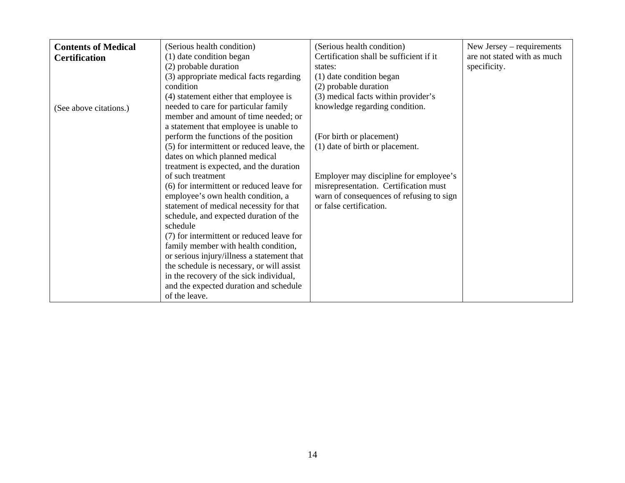<span id="page-14-0"></span>

| <b>Contents of Medical</b> | (Serious health condition)                 | (Serious health condition)               | New Jersey – requirements   |
|----------------------------|--------------------------------------------|------------------------------------------|-----------------------------|
| <b>Certification</b>       | (1) date condition began                   | Certification shall be sufficient if it  | are not stated with as much |
|                            | (2) probable duration                      | states:                                  | specificity.                |
|                            | (3) appropriate medical facts regarding    | (1) date condition began                 |                             |
|                            | condition                                  | (2) probable duration                    |                             |
|                            | (4) statement either that employee is      | (3) medical facts within provider's      |                             |
| (See above citations.)     | needed to care for particular family       | knowledge regarding condition.           |                             |
|                            | member and amount of time needed; or       |                                          |                             |
|                            | a statement that employee is unable to     |                                          |                             |
|                            | perform the functions of the position      | (For birth or placement)                 |                             |
|                            | (5) for intermittent or reduced leave, the | (1) date of birth or placement.          |                             |
|                            | dates on which planned medical             |                                          |                             |
|                            | treatment is expected, and the duration    |                                          |                             |
|                            | of such treatment                          | Employer may discipline for employee's   |                             |
|                            | (6) for intermittent or reduced leave for  | misrepresentation. Certification must    |                             |
|                            | employee's own health condition, a         | warn of consequences of refusing to sign |                             |
|                            | statement of medical necessity for that    | or false certification.                  |                             |
|                            | schedule, and expected duration of the     |                                          |                             |
|                            | schedule                                   |                                          |                             |
|                            | (7) for intermittent or reduced leave for  |                                          |                             |
|                            | family member with health condition,       |                                          |                             |
|                            | or serious injury/illness a statement that |                                          |                             |
|                            | the schedule is necessary, or will assist  |                                          |                             |
|                            | in the recovery of the sick individual,    |                                          |                             |
|                            | and the expected duration and schedule     |                                          |                             |
|                            | of the leave.                              |                                          |                             |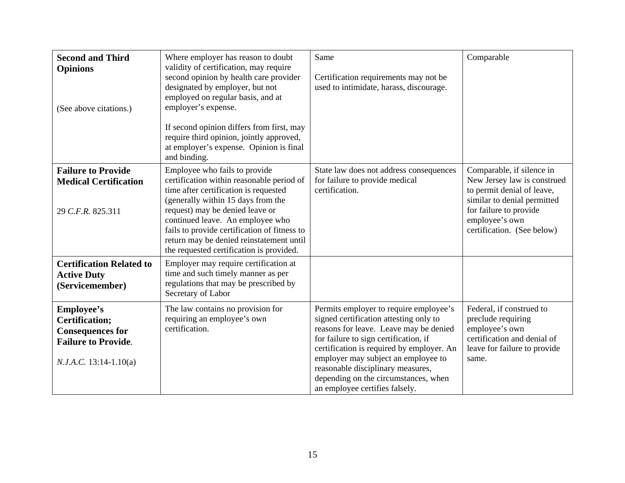<span id="page-15-0"></span>

| <b>Second and Third</b><br><b>Opinions</b>                                                                                      | Where employer has reason to doubt<br>validity of certification, may require<br>second opinion by health care provider<br>designated by employer, but not                                                                                                                                                                                                                | Same<br>Certification requirements may not be<br>used to intimidate, harass, discourage.                                                                                                                                                                                                                                                                               | Comparable                                                                                                                                                                                      |
|---------------------------------------------------------------------------------------------------------------------------------|--------------------------------------------------------------------------------------------------------------------------------------------------------------------------------------------------------------------------------------------------------------------------------------------------------------------------------------------------------------------------|------------------------------------------------------------------------------------------------------------------------------------------------------------------------------------------------------------------------------------------------------------------------------------------------------------------------------------------------------------------------|-------------------------------------------------------------------------------------------------------------------------------------------------------------------------------------------------|
| (See above citations.)                                                                                                          | employed on regular basis, and at<br>employer's expense.<br>If second opinion differs from first, may<br>require third opinion, jointly approved,<br>at employer's expense. Opinion is final<br>and binding.                                                                                                                                                             |                                                                                                                                                                                                                                                                                                                                                                        |                                                                                                                                                                                                 |
| <b>Failure to Provide</b><br><b>Medical Certification</b><br>29 C.F.R. 825.311                                                  | Employee who fails to provide<br>certification within reasonable period of<br>time after certification is requested<br>(generally within 15 days from the<br>request) may be denied leave or<br>continued leave. An employee who<br>fails to provide certification of fitness to<br>return may be denied reinstatement until<br>the requested certification is provided. | State law does not address consequences<br>for failure to provide medical<br>certification.                                                                                                                                                                                                                                                                            | Comparable, if silence in<br>New Jersey law is construed<br>to permit denial of leave,<br>similar to denial permitted<br>for failure to provide<br>employee's own<br>certification. (See below) |
| <b>Certification Related to</b><br><b>Active Duty</b><br>(Servicemember)                                                        | Employer may require certification at<br>time and such timely manner as per<br>regulations that may be prescribed by<br>Secretary of Labor                                                                                                                                                                                                                               |                                                                                                                                                                                                                                                                                                                                                                        |                                                                                                                                                                                                 |
| <b>Employee's</b><br><b>Certification;</b><br><b>Consequences for</b><br><b>Failure to Provide.</b><br>$N.J.A.C. 13:14-1.10(a)$ | The law contains no provision for<br>requiring an employee's own<br>certification.                                                                                                                                                                                                                                                                                       | Permits employer to require employee's<br>signed certification attesting only to<br>reasons for leave. Leave may be denied<br>for failure to sign certification, if<br>certification is required by employer. An<br>employer may subject an employee to<br>reasonable disciplinary measures,<br>depending on the circumstances, when<br>an employee certifies falsely. | Federal, if construed to<br>preclude requiring<br>employee's own<br>certification and denial of<br>leave for failure to provide<br>same.                                                        |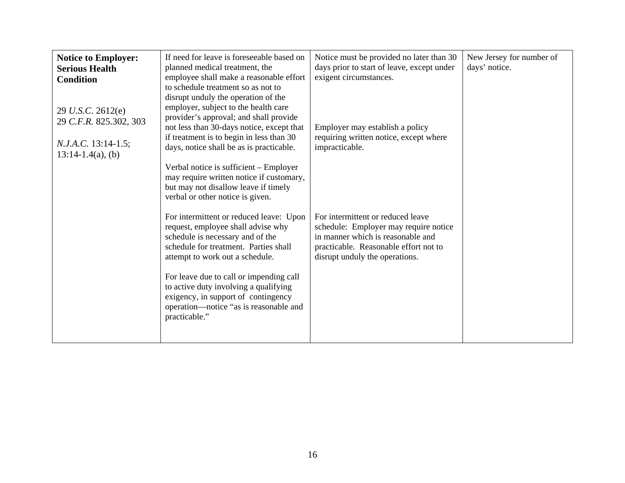<span id="page-16-0"></span>

| <b>Notice to Employer:</b><br><b>Serious Health</b><br><b>Condition</b><br>29 U.S.C. 2612(e)<br>29 C.F.R. 825.302, 303<br>$N.J.A.C.$ 13:14-1.5;<br>$13:14-1.4(a)$ , (b) | If need for leave is foreseeable based on<br>planned medical treatment, the<br>employee shall make a reasonable effort<br>to schedule treatment so as not to<br>disrupt unduly the operation of the<br>employer, subject to the health care<br>provider's approval; and shall provide<br>not less than 30-days notice, except that<br>if treatment is to begin in less than 30<br>days, notice shall be as is practicable.<br>Verbal notice is sufficient - Employer<br>may require written notice if customary,<br>but may not disallow leave if timely<br>verbal or other notice is given. | Notice must be provided no later than 30<br>days prior to start of leave, except under<br>exigent circumstances.<br>Employer may establish a policy<br>requiring written notice, except where<br>impracticable. | New Jersey for number of<br>days' notice. |
|-------------------------------------------------------------------------------------------------------------------------------------------------------------------------|----------------------------------------------------------------------------------------------------------------------------------------------------------------------------------------------------------------------------------------------------------------------------------------------------------------------------------------------------------------------------------------------------------------------------------------------------------------------------------------------------------------------------------------------------------------------------------------------|-----------------------------------------------------------------------------------------------------------------------------------------------------------------------------------------------------------------|-------------------------------------------|
|                                                                                                                                                                         | For intermittent or reduced leave: Upon<br>request, employee shall advise why<br>schedule is necessary and of the<br>schedule for treatment. Parties shall<br>attempt to work out a schedule.<br>For leave due to call or impending call<br>to active duty involving a qualifying<br>exigency, in support of contingency<br>operation—notice "as is reasonable and<br>practicable."                                                                                                                                                                                                          | For intermittent or reduced leave<br>schedule: Employer may require notice<br>in manner which is reasonable and<br>practicable. Reasonable effort not to<br>disrupt unduly the operations.                      |                                           |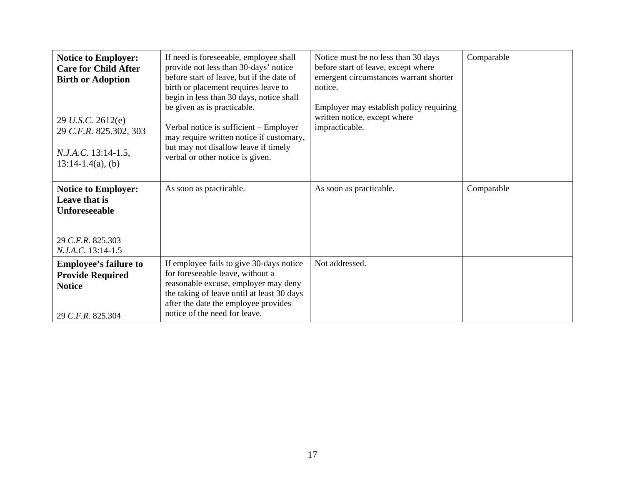<span id="page-17-0"></span>

| <b>Notice to Employer:</b><br><b>Care for Child After</b><br><b>Birth or Adoption</b><br>29 U.S.C. 2612(e)<br>29 C.F.R. 825.302, 303<br>N.J.A.C. 13:14-1.5,<br>$13:14-1.4(a)$ , (b) | If need is foreseeable, employee shall<br>provide not less than 30-days' notice<br>before start of leave, but if the date of<br>birth or placement requires leave to<br>begin in less than 30 days, notice shall<br>be given as is practicable.<br>Verbal notice is sufficient - Employer<br>may require written notice if customary,<br>but may not disallow leave if timely<br>verbal or other notice is given. | Notice must be no less than 30 days<br>before start of leave, except where<br>emergent circumstances warrant shorter<br>notice.<br>Employer may establish policy requiring<br>written notice, except where<br>impracticable. | Comparable |
|-------------------------------------------------------------------------------------------------------------------------------------------------------------------------------------|-------------------------------------------------------------------------------------------------------------------------------------------------------------------------------------------------------------------------------------------------------------------------------------------------------------------------------------------------------------------------------------------------------------------|------------------------------------------------------------------------------------------------------------------------------------------------------------------------------------------------------------------------------|------------|
| <b>Notice to Employer:</b><br>Leave that is<br><b>Unforeseeable</b><br>29 C.F.R. 825.303<br>N.J.A.C. 13:14-1.5                                                                      | As soon as practicable.                                                                                                                                                                                                                                                                                                                                                                                           | As soon as practicable.                                                                                                                                                                                                      | Comparable |
| <b>Employee's failure to</b><br><b>Provide Required</b><br><b>Notice</b><br>29 C.F.R. 825.304                                                                                       | If employee fails to give 30-days notice<br>for foreseeable leave, without a<br>reasonable excuse, employer may deny<br>the taking of leave until at least 30 days<br>after the date the employee provides<br>notice of the need for leave.                                                                                                                                                                       | Not addressed.                                                                                                                                                                                                               |            |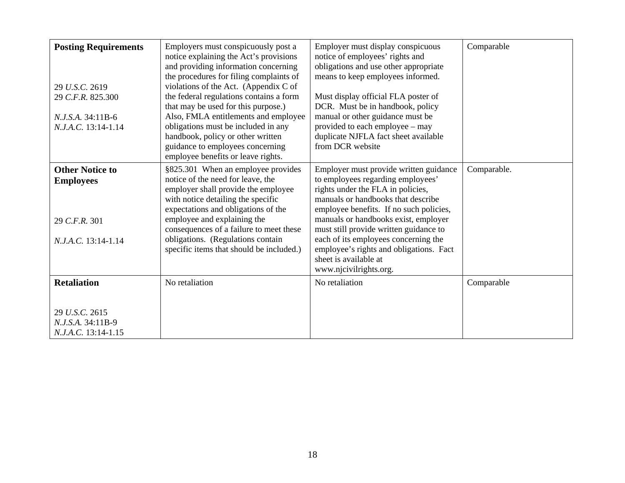<span id="page-18-0"></span>

| <b>Posting Requirements</b><br>29 U.S.C. 2619<br>29 C.F.R. 825.300<br>N.J.S.A. 34:11B-6<br>N.J.A.C. 13:14-1.14 | Employers must conspicuously post a<br>notice explaining the Act's provisions<br>and providing information concerning<br>the procedures for filing complaints of<br>violations of the Act. (Appendix C of<br>the federal regulations contains a form<br>that may be used for this purpose.)<br>Also, FMLA entitlements and employee<br>obligations must be included in any<br>handbook, policy or other written<br>guidance to employees concerning<br>employee benefits or leave rights. | Employer must display conspicuous<br>notice of employees' rights and<br>obligations and use other appropriate<br>means to keep employees informed.<br>Must display official FLA poster of<br>DCR. Must be in handbook, policy<br>manual or other guidance must be<br>provided to each employee – may<br>duplicate NJFLA fact sheet available<br>from DCR website                                                          | Comparable  |
|----------------------------------------------------------------------------------------------------------------|-------------------------------------------------------------------------------------------------------------------------------------------------------------------------------------------------------------------------------------------------------------------------------------------------------------------------------------------------------------------------------------------------------------------------------------------------------------------------------------------|---------------------------------------------------------------------------------------------------------------------------------------------------------------------------------------------------------------------------------------------------------------------------------------------------------------------------------------------------------------------------------------------------------------------------|-------------|
| <b>Other Notice to</b><br><b>Employees</b><br>29 C.F.R. 301<br>N.J.A.C. 13:14-1.14                             | §825.301 When an employee provides<br>notice of the need for leave, the<br>employer shall provide the employee<br>with notice detailing the specific<br>expectations and obligations of the<br>employee and explaining the<br>consequences of a failure to meet these<br>obligations. (Regulations contain<br>specific items that should be included.)                                                                                                                                    | Employer must provide written guidance<br>to employees regarding employees'<br>rights under the FLA in policies,<br>manuals or handbooks that describe<br>employee benefits. If no such policies,<br>manuals or handbooks exist, employer<br>must still provide written guidance to<br>each of its employees concerning the<br>employee's rights and obligations. Fact<br>sheet is available at<br>www.njcivilrights.org. | Comparable. |
| <b>Retaliation</b><br>29 U.S.C. 2615<br>N.J.S.A. 34:11B-9<br>N.J.A.C. 13:14-1.15                               | No retaliation                                                                                                                                                                                                                                                                                                                                                                                                                                                                            | No retaliation                                                                                                                                                                                                                                                                                                                                                                                                            | Comparable  |